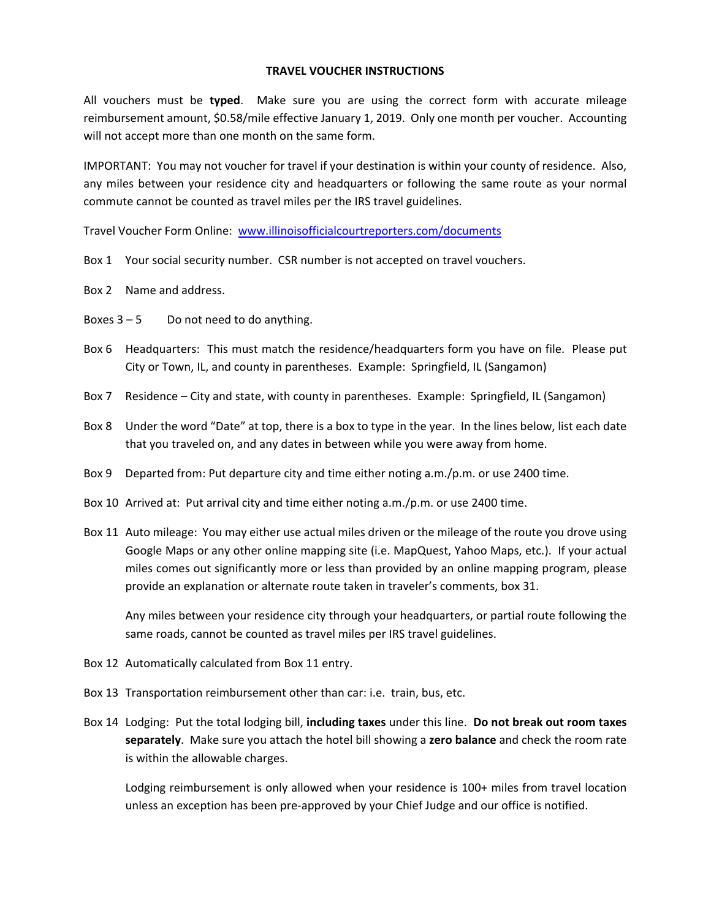## **TRAVEL VOUCHER INSTRUCTIONS**

All vouchers must be **typed**. Make sure you are using the correct form with accurate mileage reimbursement amount, \$0.58/mile effective January 1, 2019. Only one month per voucher. Accounting will not accept more than one month on the same form.

IMPORTANT: You may not voucher for travel if your destination is within your county of residence. Also, any miles between your residence city and headquarters or following the same route as your normal commute cannot be counted as travel miles per the IRS travel guidelines.

Travel Voucher Form Online: www.illinoisofficialcourtreporters.com/documents

- Box 1 Your social security number. CSR number is not accepted on travel vouchers.
- Box 2 Name and address.
- Boxes  $3 5$  Do not need to do anything.
- Box 6 Headquarters: This must match the residence/headquarters form you have on file. Please put City or Town, IL, and county in parentheses. Example: Springfield, IL (Sangamon)
- Box 7 Residence City and state, with county in parentheses. Example: Springfield, IL (Sangamon)
- Box 8 Under the word "Date" at top, there is a box to type in the year. In the lines below, list each date that you traveled on, and any dates in between while you were away from home.
- Box 9 Departed from: Put departure city and time either noting a.m./p.m. or use 2400 time.
- Box 10 Arrived at: Put arrival city and time either noting a.m./p.m. or use 2400 time.
- Box 11 Auto mileage: You may either use actual miles driven or the mileage of the route you drove using Google Maps or any other online mapping site (i.e. MapQuest, Yahoo Maps, etc.). If your actual miles comes out significantly more or less than provided by an online mapping program, please provide an explanation or alternate route taken in traveler's comments, box 31.

 Any miles between your residence city through your headquarters, or partial route following the same roads, cannot be counted as travel miles per IRS travel guidelines.

- Box 12 Automatically calculated from Box 11 entry.
- Box 13 Transportation reimbursement other than car: i.e. train, bus, etc.
- Box 14 Lodging: Put the total lodging bill, **including taxes** under this line. **Do not break out room taxes separately**. Make sure you attach the hotel bill showing a **zero balance** and check the room rate is within the allowable charges.

Lodging reimbursement is only allowed when your residence is 100+ miles from travel location unless an exception has been pre-approved by your Chief Judge and our office is notified.